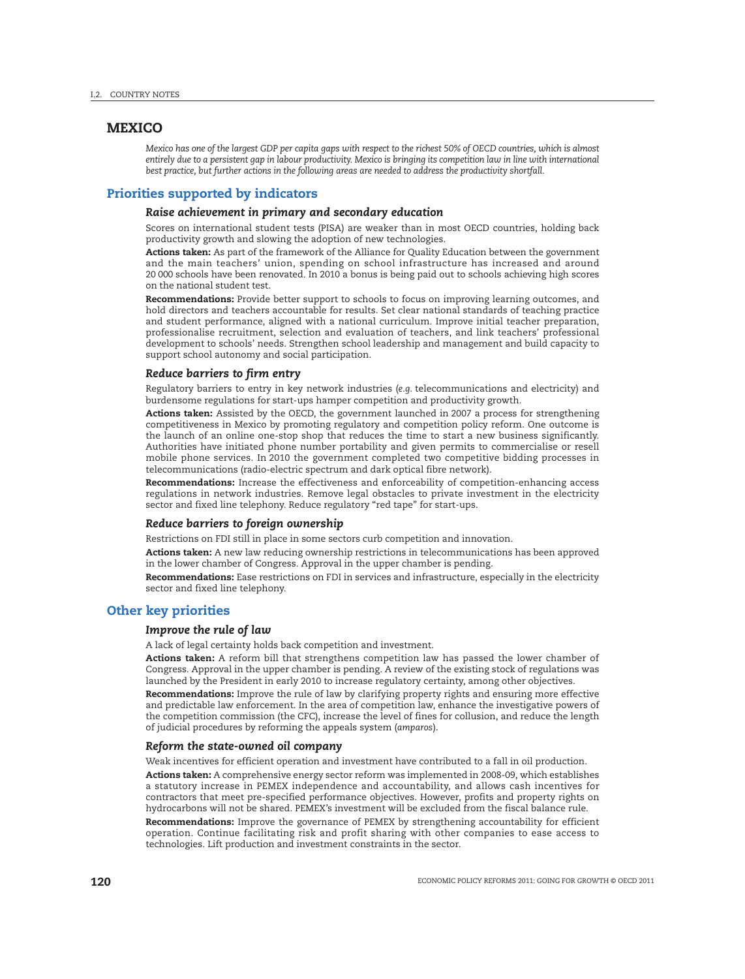## **MEXICO**

*Mexico has one of the largest GDP per capita gaps with respect to the richest 50% of OECD countries, which is almost entirely due to a persistent gap in labour productivity. Mexico is bringing its competition law in line with international best practice, but further actions in the following areas are needed to address the productivity shortfall.*

# **Priorities supported by indicators**

#### *Raise achievement in primary and secondary education*

Scores on international student tests (PISA) are weaker than in most OECD countries, holding back productivity growth and slowing the adoption of new technologies.

**Actions taken:** As part of the framework of the Alliance for Quality Education between the government and the main teachers' union, spending on school infrastructure has increased and around 20 000 schools have been renovated. In 2010 a bonus is being paid out to schools achieving high scores on the national student test.

**Recommendations:** Provide better support to schools to focus on improving learning outcomes, and hold directors and teachers accountable for results. Set clear national standards of teaching practice and student performance, aligned with a national curriculum. Improve initial teacher preparation, professionalise recruitment, selection and evaluation of teachers, and link teachers' professional development to schools' needs. Strengthen school leadership and management and build capacity to support school autonomy and social participation.

#### *Reduce barriers to firm entry*

Regulatory barriers to entry in key network industries (*e.g.* telecommunications and electricity) and burdensome regulations for start-ups hamper competition and productivity growth.

**Actions taken:** Assisted by the OECD, the government launched in 2007 a process for strengthening competitiveness in Mexico by promoting regulatory and competition policy reform. One outcome is the launch of an online one-stop shop that reduces the time to start a new business significantly. Authorities have initiated phone number portability and given permits to commercialise or resell mobile phone services. In 2010 the government completed two competitive bidding processes in telecommunications (radio-electric spectrum and dark optical fibre network).

**Recommendations:** Increase the effectiveness and enforceability of competition-enhancing access regulations in network industries. Remove legal obstacles to private investment in the electricity sector and fixed line telephony. Reduce regulatory "red tape" for start-ups.

#### *Reduce barriers to foreign ownership*

Restrictions on FDI still in place in some sectors curb competition and innovation.

**Actions taken:** A new law reducing ownership restrictions in telecommunications has been approved in the lower chamber of Congress. Approval in the upper chamber is pending.

**Recommendations:** Ease restrictions on FDI in services and infrastructure, especially in the electricity sector and fixed line telephony.

## **Other key priorities**

#### *Improve the rule of law*

A lack of legal certainty holds back competition and investment.

**Actions taken:** A reform bill that strengthens competition law has passed the lower chamber of Congress. Approval in the upper chamber is pending. A review of the existing stock of regulations was launched by the President in early 2010 to increase regulatory certainty, among other objectives.

**Recommendations:** Improve the rule of law by clarifying property rights and ensuring more effective and predictable law enforcement. In the area of competition law, enhance the investigative powers of the competition commission (the CFC), increase the level of fines for collusion, and reduce the length of judicial procedures by reforming the appeals system (*amparos*).

#### *Reform the state-owned oil company*

Weak incentives for efficient operation and investment have contributed to a fall in oil production.

**Actions taken:** A comprehensive energy sector reform was implemented in 2008-09, which establishes a statutory increase in PEMEX independence and accountability, and allows cash incentives for contractors that meet pre-specified performance objectives. However, profits and property rights on hydrocarbons will not be shared. PEMEX's investment will be excluded from the fiscal balance rule.

**Recommendations:** Improve the governance of PEMEX by strengthening accountability for efficient operation. Continue facilitating risk and profit sharing with other companies to ease access to technologies. Lift production and investment constraints in the sector.